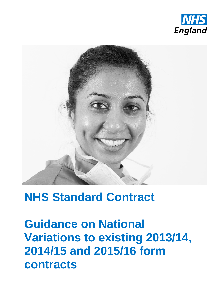



# **NHS Standard Contract**

**Guidance on National Variations to existing 2013/14, 2014/15 and 2015/16 form contracts**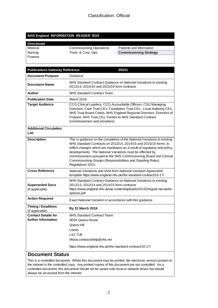#### **NHS England INFORMATION READER BOX**

# **Directorate**

Finance

Medical Commissioning Operations Patients and Information Nursing Trans. & Corp. Ops. **Commissioning Strategy** 

| <b>Publications Gateway Reference:</b>            | 05021                                                                                                                                                                                                                                                                                                                                                                                                                                           |  |  |
|---------------------------------------------------|-------------------------------------------------------------------------------------------------------------------------------------------------------------------------------------------------------------------------------------------------------------------------------------------------------------------------------------------------------------------------------------------------------------------------------------------------|--|--|
| <b>Document Purpose</b>                           | Guidance                                                                                                                                                                                                                                                                                                                                                                                                                                        |  |  |
| <b>Document Name</b>                              | NHS Standard Contract Guidance on National Variations to existing<br>2013/14, 2014/15 and 2015/16 form contracts                                                                                                                                                                                                                                                                                                                                |  |  |
| Author                                            | <b>NHS Standard Contract Team</b>                                                                                                                                                                                                                                                                                                                                                                                                               |  |  |
| <b>Publication Date</b>                           | March 2016                                                                                                                                                                                                                                                                                                                                                                                                                                      |  |  |
| <b>Target Audience</b>                            | CCG Clinical Leaders, CCG Accountable Officers, CSU Managing<br>Directors, Care Trust CEs, Foundation Trust CEs, Local Authority CEs,<br>NHS Trust Board Chairs, NHS England Regional Directors, Directors of<br>Finance, NHS Trust CEs, Parties to NHS Standard Contract<br>(commissioners and providers)                                                                                                                                      |  |  |
| <b>Additional Circulation</b><br>List             |                                                                                                                                                                                                                                                                                                                                                                                                                                                 |  |  |
| <b>Description</b>                                | This is guidance on the completion of the National Variations to existing<br>NHS Standard Contracts on 2013/14, 2014/15 and 2015/16 forms, to<br>reflect changes which are mandatory as a result of regulatory and policy<br>developments. The National Variations must be effected by<br>commissioners pursuant to the NHS Commissioning Board and Clinical<br>Commissioning Groups (Responsibilities and Standing Rules)<br>Regulations 2012. |  |  |
| <b>Cross Reference</b>                            | National Variations and short form National Variation Agreement<br>template https://www.england.nhs.uk/nhs-standard-contract/16-17/                                                                                                                                                                                                                                                                                                             |  |  |
| <b>Superseded Docs</b><br>(if applicable)         | NHS Standard Contract Guidance on National Variations to existing<br>2012/13, 2013/14 and 2014/15 form contracts<br>https://www.england.nhs.uk/wp-content/uploads/2015/04/guid-nat-vartin-<br>options.pdf                                                                                                                                                                                                                                       |  |  |
| <b>Action Required</b>                            | Exact National Variation in accordance with this guidance                                                                                                                                                                                                                                                                                                                                                                                       |  |  |
| <b>Timing / Deadlines</b><br>(if applicable)      | <b>By 31 March 2016</b>                                                                                                                                                                                                                                                                                                                                                                                                                         |  |  |
| <b>Contact Details for</b><br>further information | NHS Standard Contract Team<br>4E64 Quarry House<br>Quarry Hill<br>Leeds<br>LS2 7UE<br>nhscb.contractshelp@nhs.net<br>https://www.england.nhs.uk/nhs-standard-contract/16-17/                                                                                                                                                                                                                                                                    |  |  |

#### **Document Status**

This is a controlled document. Whilst this document may be printed, the electronic version posted on the intranet is the controlled copy. Any printed copies of this document are not controlled. As a controlled document, this document should not be saved onto local or network drives but should always be accessed from the intranet.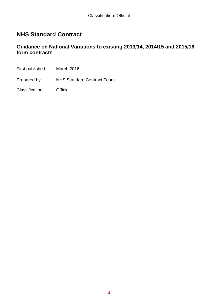# **NHS Standard Contract**

### **Guidance on National Variations to existing 2013/14, 2014/15 and 2015/16 form contracts**

First published: March 2016

Prepared by: NHS Standard Contract Team

Classification: Official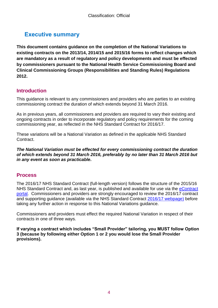# **Executive summary**

**This document contains guidance on the completion of the National Variations to existing contracts on the 2013/14, 2014/15 and 2015/16 forms to reflect changes which are mandatory as a result of regulatory and policy developments and must be effected by commissioners pursuant to the National Health Service Commissioning Board and Clinical Commissioning Groups (Responsibilities and Standing Rules) Regulations 2012.**

# **Introduction**

This guidance is relevant to any commissioners and providers who are parties to an existing commissioning contract the duration of which extends beyond 31 March 2016.

As in previous years, all commissioners and providers are required to vary their existing and ongoing contracts in order to incorporate regulatory and policy requirements for the coming commissioning year, as reflected in the NHS Standard Contract for 2016/17.

These variations will be a National Variation as defined in the applicable NHS Standard Contract.

*The National Variation must be effected for every commissioning contract the duration of which extends beyond 31 March 2016, preferably by no later than 31 March 2016 but in any event as soon as practicable.*

## **Process**

The 2016/17 NHS Standard Contract (full-length version) follows the structure of the 2015/16 NHS Standard Contract and, as last year, is published and available for use via the eContract [portal.](https://www.econtract.england.nhs.uk/Home/) Commissioners and providers are strongly encouraged to review the 2016/17 contract and supporting guidance (available via the NHS Standard Contract 2016/17 [webpage\)](https://www.england.nhs.uk/nhs-standard-contract/16-17/) before taking any further action in response to this National Variations guidance.

Commissioners and providers must effect the required National Variation in respect of their contracts in one of three ways.

**If varying a contract which includes "Small Provider" tailoring, you MUST follow Option 3 (because by following either Option 1 or 2 you would lose the Small Provider provisions).**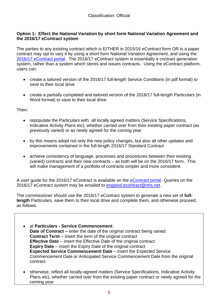#### **Option 1: Effect the National Variation by short form National Variation Agreement and the 2016/17 eContract system**

The parties to any existing contract which is EITHER in 2015/16 eContract form OR is a paper contract may opt to vary it by using a short form National Variation Agreement, and using the 2016/17 [eContract portal.](https://www.econtract.england.nhs.uk/Home/) The 2016/17 eContract system is essentially a contract generation system, rather than a system which stores and issues contracts. Using the eContract platform, users can:

- create a tailored version of the 2016/17 full-length Service Conditions (in pdf format) to save to their local drive
- create a partially completed and tailored version of the 2016/17 full-length Particulars (in Word format) to save to their local drive

Then:

- repopulate the Particulars with all locally agreed matters (Service Specifications, Indicative Activity Plans etc), whether carried over from their existing paper contract (as previously varied) or as newly agreed for the coming year
- by this means adopt not only the new policy changes, but also all other updates and improvements contained in the full-length 2016/17 Standard Contract
- achieve consistency of language, processes and procedures between their existing (varied) contracts and their new contracts – as both will be on the 2016/17 form. This will make management of a portfolio of contracts simpler and more consistent.

A user guide for the 2016/17 eContract is available on the [eContract portal](https://www.econtract.england.nhs.uk/Home/) Queries on the 2016/17 eContract system may be emailed to [england.econtract@nhs.net.](mailto:england.econtract@nhs.net)

The commissioner should use the 2016/17 eContract system to generate a new set of **fulllength** Particulars, save them to their local drive and complete them, and otherwise proceed, as follows:

- at **Particulars - Service Commencement**: **Date of Contract –** enter the date of the original contract being varied **Contract Term** – insert the term of the original contract **Effective Date** – insert the Effective Date of the original contract **Expiry Date** – insert the Expiry Date of the original contract **Expected Service Commencement Date** – insert the Expected Service Commencement Date or Anticipated Service Commencement Date from the original contract
- otherwise, reflect all locally-agreed matters (Service Specifications, Indicative Activity Plans etc), whether carried over from the existing paper contract or newly agreed for the coming year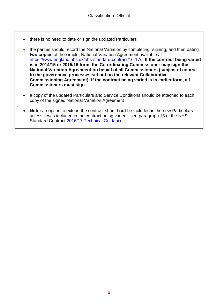• there is no need to date or sign the updated Particulars

.

- the parties should record the National Variation by completing, signing, and then dating **two copies** of the simple, National Variation Agreement available at [https://www.england.nhs.uk/nhs-standard-contract/16-17/.](https://www.england.nhs.uk/nhs-standard-contract/16-17/) **If the contract being varied is in 2014/15 or 2015/16 form, the Co-ordinating Commissioner may sign the National Variation Agreement on behalf of all Commissioners (subject of course to the governance processes set out on the relevant Collaborative Commissioning Agreement); if the contract being varied is in earlier form, all Commissioners must sign**
- a copy of the updated Particulars and Service Conditions should be attached to each copy of the signed National Variation Agreement
- **Note:** an option to extend the contract should **not** be included in the new Particulars unless it was included in the contract being varied - see paragraph 18 of the NHS Standard Contract 2016/17 [Technical Guidance.](https://www.england.nhs.uk/nhs-standard-contract/16-17/)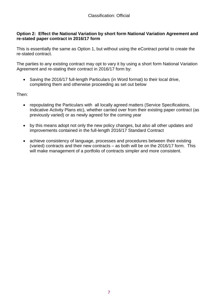#### **Option 2: Effect the National Variation by short form National Variation Agreement and re-stated paper contract in 2016/17 form**

This is essentially the same as Option 1, but without using the eContract portal to create the re-stated contract.

The parties to any existing contract may opt to vary it by using a short form National Variation Agreement and re-stating their contract in 2016/17 form by:

 Saving the 2016/17 full-length Particulars (in Word format) to their local drive, completing them and otherwise proceeding as set out below

Then:

- repopulating the Particulars with all locally agreed matters (Service Specifications, Indicative Activity Plans etc), whether carried over from their existing paper contract (as previously varied) or as newly agreed for the coming year
- by this means adopt not only the new policy changes, but also all other updates and improvements contained in the full-length 2016/17 Standard Contract
- achieve consistency of language, processes and procedures between their existing (varied) contracts and their new contracts – as both will be on the 2016/17 form. This will make management of a portfolio of contracts simpler and more consistent.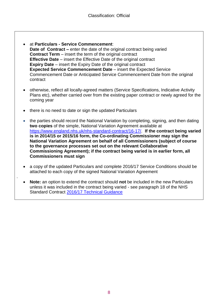- at **Particulars - Service Commencement**: **Date of Contract –** enter the date of the original contract being varied **Contract Term** – insert the term of the original contract **Effective Date** – insert the Effective Date of the original contract **Expiry Date** – insert the Expiry Date of the original contract **Expected Service Commencement Date** – insert the Expected Service Commencement Date or Anticipated Service Commencement Date from the original contract
- otherwise, reflect all locally-agreed matters (Service Specifications, Indicative Activity Plans etc), whether carried over from the existing paper contract or newly agreed for the coming year
- there is no need to date or sign the updated Particulars

.

- the parties should record the National Variation by completing, signing, and then dating **two copies** of the simple, National Variation Agreement available at [https://www.england.nhs.uk/nhs-standard-contract/16-17/.](https://www.england.nhs.uk/nhs-standard-contract/16-17/) **If the contract being varied is in 2014/15 or 2015/16 form, the Co-ordinating Commissioner may sign the National Variation Agreement on behalf of all Commissioners (subject of course to the governance processes set out on the relevant Collaborative Commissioning Agreement); if the contract being varied is in earlier form, all Commissioners must sign**
- a copy of the updated Particulars and complete 2016/17 Service Conditions should be attached to each copy of the signed National Variation Agreement
- **Note:** an option to extend the contract should **not** be included in the new Particulars unless it was included in the contract being varied - see paragraph 18 of the NHS Standard Contract [2016/17 Technical Guidance](https://www.england.nhs.uk/nhs-standard-contract/16-17/)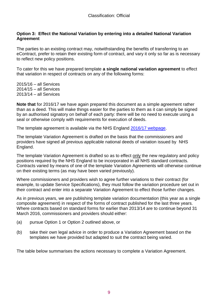#### **Option 3: Effect the National Variation by entering into a detailed National Variation Agreement**

The parties to an existing contract may, notwithstanding the benefits of transferring to an eContract, prefer to retain their existing form of contract, and vary it only so far as is necessary to reflect new policy positions.

To cater for this we have prepared template **a single national variation agreement** to effect that variation in respect of contracts on any of the following forms:

2015/16 – all Services 2014/15 – all Services 2013/14 – all Services

**Note that** for 2016/17 we have again prepared this document as a simple agreement rather than as a deed. This will make things easier for the parties to them as it can simply be signed by an authorised signatory on behalf of each party: there will be no need to execute using a seal or otherwise comply with requirements for execution of deeds.

The template agreement is available via the NHS England 2016/17 [webpage.](https://www.england.nhs.uk/nhs-standard-contract/16-17/)

The template Variation Agreement is drafted on the basis that the commissioners and providers have signed all previous applicable national deeds of variation issued by NHS England.

The template Variation Agreement is drafted so as to effect only the new regulatory and policy positions required by the NHS England to be incorporated in all NHS standard contracts. Contracts varied by means of one of the template Variation Agreements will otherwise continue on their existing terms (as may have been varied previously).

Where commissioners and providers wish to agree further variations to their contract (for example, to update Service Specifications), they must follow the variation procedure set out in their contract and enter into a separate Variation Agreement to effect those further changes.

As in previous years, we are publishing template variation documentation (this year as a single composite agreement) in respect of the forms of contract published for the last three years. Where contracts based on standard forms for earlier than 2013/14 are to continue beyond 31 March 2016, commissioners and providers should either:

- (a) pursue Option 1 or Option 2 outlined above, or
- (b) take their own legal advice in order to produce a Variation Agreement based on the templates we have provided but adapted to suit the contract being varied.

The table below summarises the actions necessary to complete a Variation Agreement.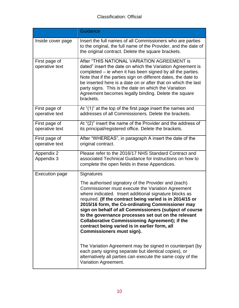## Classification: Official

|                                 | Guidance                                                                                                                                                                                                                                                                                                                                                                                                                                                                                                                                          |  |  |
|---------------------------------|---------------------------------------------------------------------------------------------------------------------------------------------------------------------------------------------------------------------------------------------------------------------------------------------------------------------------------------------------------------------------------------------------------------------------------------------------------------------------------------------------------------------------------------------------|--|--|
| Inside cover page               | Insert the full names of all Commissioners who are parties<br>to the original, the full name of the Provider, and the date of<br>the original contract. Delete the square brackets.                                                                                                                                                                                                                                                                                                                                                               |  |  |
| First page of<br>operative text | After "THIS NATIONAL VARIATION AGREEMENT is<br>dated" insert the date on which the Variation Agreement is<br>completed – ie when it has been signed by all the parties.<br>Note that if the parties sign on different dates, the date to<br>be inserted here is a date on or after that on which the last<br>party signs. This is the date on which the Variation<br>Agreement becomes legally binding. Delete the square<br>brackets.                                                                                                            |  |  |
| First page of<br>operative text | At "(1)" at the top of the first page insert the names and<br>addresses of all Commissioners. Delete the brackets.                                                                                                                                                                                                                                                                                                                                                                                                                                |  |  |
| First page of<br>operative text | At "(2)" insert the name of the Provider and the address of<br>its principal/registered office. Delete the brackets.                                                                                                                                                                                                                                                                                                                                                                                                                              |  |  |
| First page of<br>operative text | After "WHEREAS", in paragraph A insert the date of the<br>original contract.                                                                                                                                                                                                                                                                                                                                                                                                                                                                      |  |  |
| Appendix 2<br>Appendix 3        | Please refer to the 2016/17 NHS Standard Contract and<br>associated Technical Guidance for instructions on how to<br>complete the open fields in these Appendices.                                                                                                                                                                                                                                                                                                                                                                                |  |  |
| <b>Execution page</b>           | Signatures                                                                                                                                                                                                                                                                                                                                                                                                                                                                                                                                        |  |  |
|                                 | The authorised signatory of the Provider and (each)<br>Commissioner must execute the Variation Agreement<br>where indicated. Insert additional signature blocks as<br>required. (If the contract being varied is in 2014/15 or<br>2015/16 form, the Co-ordinating Commissioner may<br>sign on behalf of all Commissioners (subject of course<br>to the governance processes set out on the relevant<br><b>Collaborative Commissioning Agreement); if the</b><br>contract being varied is in earlier form, all<br><b>Commissioners must sign).</b> |  |  |
|                                 | The Variation Agreement may be signed in counterpart (by<br>each party signing separate but identical copies), or<br>alternatively all parties can execute the same copy of the<br>Variation Agreement.                                                                                                                                                                                                                                                                                                                                           |  |  |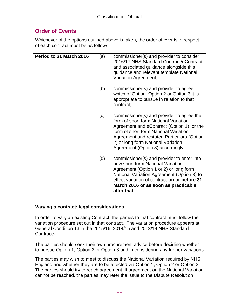# **Order of Events**

Whichever of the options outlined above is taken, the order of events in respect of each contract must be as follows:

| Period to 31 March 2016 | (a) | commissioner(s) and provider to consider<br>2016/17 NHS Standard Contract/eContract<br>and associated guidance alongside this<br>guidance and relevant template National<br>Variation Agreement;                                                                                                   |
|-------------------------|-----|----------------------------------------------------------------------------------------------------------------------------------------------------------------------------------------------------------------------------------------------------------------------------------------------------|
|                         | (b) | commissioner(s) and provider to agree<br>which of Option, Option 2 or Option 3 it is<br>appropriate to pursue in relation to that<br>contract;                                                                                                                                                     |
|                         | (c) | commissioner(s) and provider to agree the<br>form of short form National Variation<br>Agreement and eContract (Option 1), or the<br>form of short form National Variation<br>Agreement and restated Particulars (Option<br>2) or long form National Variation<br>Agreement (Option 3) accordingly; |
|                         | (d) | commissioner(s) and provider to enter into<br>new short form National Variation<br>Agreement (Option 1 or 2) or long form<br>National Variation Agreement (Option 3) to<br>effect variation of contract on or before 31<br>March 2016 or as soon as practicable<br>after that.                     |

#### **Varying a contract: legal considerations**

In order to vary an existing Contract, the parties to that contract must follow the variation procedure set out in that contract. The variation procedure appears at General Condition 13 in the 2015/16, 2014/15 and 2013/14 NHS Standard Contracts.

The parties should seek their own procurement advice before deciding whether to pursue Option 1, Option 2 or Option 3 and in considering any further variations.

The parties may wish to meet to discuss the National Variation required by NHS England and whether they are to be effected via Option 1, Option 2 or Option 3. The parties should try to reach agreement. If agreement on the National Variation cannot be reached, the parties may refer the issue to the Dispute Resolution